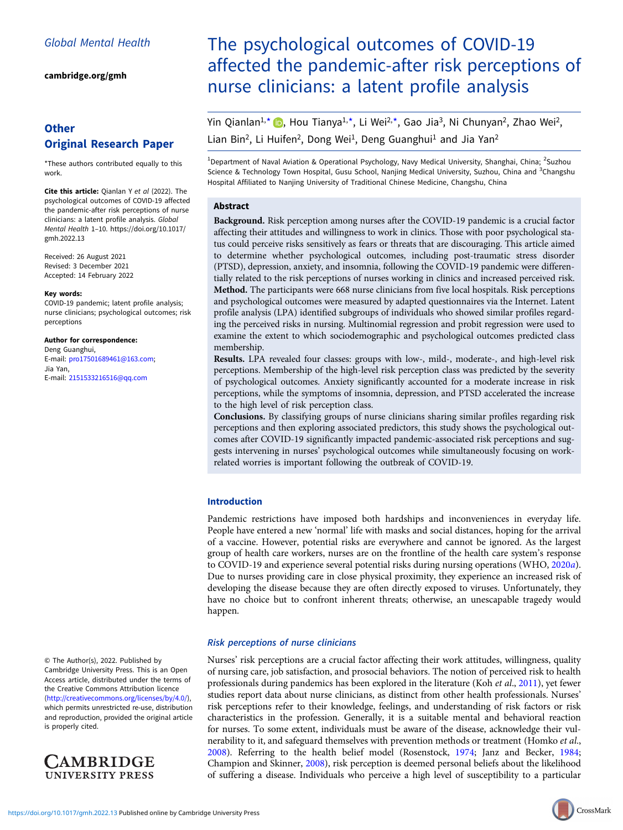[cambridge.org/gmh](https://www.cambridge.org/gmh)

# **Other** Original Research Paper

\*These authors contributed equally to this work.

Cite this article: Qianlan Y et al (2022). The psychological outcomes of COVID-19 affected the pandemic-after risk perceptions of nurse clinicians: a latent profile analysis. Global Mental Health 1–10. [https://doi.org/10.1017/](https://doi.org/10.1017/gmh.2022.13) [gmh.2022.13](https://doi.org/10.1017/gmh.2022.13)

Received: 26 August 2021 Revised: 3 December 2021 Accepted: 14 February 2022

#### Key words:

COVID-19 pandemic; latent profile analysis; nurse clinicians; psychological outcomes; risk perceptions

Author for correspondence:

Deng Guanghui, E-mail: [pro17501689461@163.com;](mailto:pro17501689461@163.com) Jia Yan, E-mail: [2151533216516@qq.com](mailto:2151533216516@qq.com)

© The Author(s), 2022. Published by Cambridge University Press. This is an Open Access article, distributed under the terms of the Creative Commons Attribution licence ([http://creativecommons.org/licenses/by/4.0/\)](http://creativecommons.org/licenses/by/4.0/), which permits unrestricted re-use, distribution and reproduction, provided the original article is properly cited.



# The psychological outcomes of COVID-19 affected the pandemic-after risk perceptions of nurse clinicians: a latent profile analysis

Yin Qianlan<sup>1[,](https://orcid.org/0000-0001-8621-5392)\*</sup> (D, Hou Tianya<sup>1,\*</sup>, Li Wei<sup>2,\*</sup>, Gao Jia<sup>3</sup>, Ni Chunyan<sup>2</sup>, Zhao Wei<sup>2</sup>, Lian Bin<sup>2</sup>, Li Huifen<sup>2</sup>, Dong Wei<sup>1</sup>, Deng Guanghui<sup>1</sup> and Jia Yan<sup>2</sup>

<sup>1</sup>Department of Naval Aviation & Operational Psychology, Navy Medical University, Shanghai, China; <sup>2</sup>Suzhou Science & Technology Town Hospital, Gusu School, Nanjing Medical University, Suzhou, China and <sup>3</sup>Changshu Hospital Affiliated to Nanjing University of Traditional Chinese Medicine, Changshu, China

# Abstract

Background. Risk perception among nurses after the COVID-19 pandemic is a crucial factor affecting their attitudes and willingness to work in clinics. Those with poor psychological status could perceive risks sensitively as fears or threats that are discouraging. This article aimed to determine whether psychological outcomes, including post-traumatic stress disorder (PTSD), depression, anxiety, and insomnia, following the COVID-19 pandemic were differentially related to the risk perceptions of nurses working in clinics and increased perceived risk. Method. The participants were 668 nurse clinicians from five local hospitals. Risk perceptions and psychological outcomes were measured by adapted questionnaires via the Internet. Latent profile analysis (LPA) identified subgroups of individuals who showed similar profiles regarding the perceived risks in nursing. Multinomial regression and probit regression were used to examine the extent to which sociodemographic and psychological outcomes predicted class membership.

Results. LPA revealed four classes: groups with low-, mild-, moderate-, and high-level risk perceptions. Membership of the high-level risk perception class was predicted by the severity of psychological outcomes. Anxiety significantly accounted for a moderate increase in risk perceptions, while the symptoms of insomnia, depression, and PTSD accelerated the increase to the high level of risk perception class.

Conclusions. By classifying groups of nurse clinicians sharing similar profiles regarding risk perceptions and then exploring associated predictors, this study shows the psychological outcomes after COVID-19 significantly impacted pandemic-associated risk perceptions and suggests intervening in nurses' psychological outcomes while simultaneously focusing on workrelated worries is important following the outbreak of COVID-19.

# Introduction

Pandemic restrictions have imposed both hardships and inconveniences in everyday life. People have entered a new 'normal' life with masks and social distances, hoping for the arrival of a vaccine. However, potential risks are everywhere and cannot be ignored. As the largest group of health care workers, nurses are on the frontline of the health care system's response to COVID-19 and experience several potential risks during nursing operations (WHO, [2020](#page-9-0)a). Due to nurses providing care in close physical proximity, they experience an increased risk of developing the disease because they are often directly exposed to viruses. Unfortunately, they have no choice but to confront inherent threats; otherwise, an unescapable tragedy would happen.

# Risk perceptions of nurse clinicians

Nurses' risk perceptions are a crucial factor affecting their work attitudes, willingness, quality of nursing care, job satisfaction, and prosocial behaviors. The notion of perceived risk to health professionals during pandemics has been explored in the literature (Koh et al., [2011](#page-8-0)), yet fewer studies report data about nurse clinicians, as distinct from other health professionals. Nurses' risk perceptions refer to their knowledge, feelings, and understanding of risk factors or risk characteristics in the profession. Generally, it is a suitable mental and behavioral reaction for nurses. To some extent, individuals must be aware of the disease, acknowledge their vulnerability to it, and safeguard themselves with prevention methods or treatment (Homko et al., [2008\)](#page-8-0). Referring to the health belief model (Rosenstock, [1974;](#page-9-0) Janz and Becker, [1984](#page-8-0); Champion and Skinner, [2008](#page-8-0)), risk perception is deemed personal beliefs about the likelihood of suffering a disease. Individuals who perceive a high level of susceptibility to a particular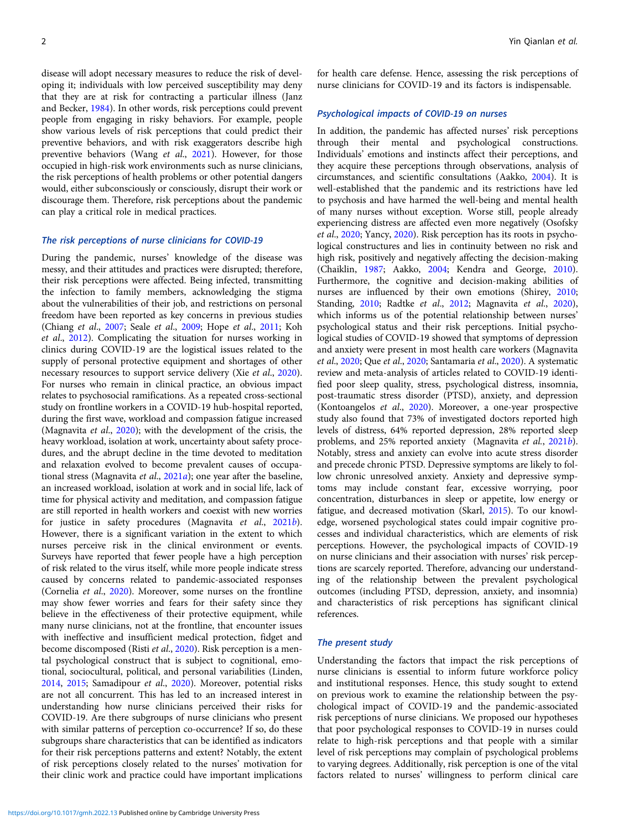disease will adopt necessary measures to reduce the risk of developing it; individuals with low perceived susceptibility may deny that they are at risk for contracting a particular illness (Janz and Becker, [1984\)](#page-8-0). In other words, risk perceptions could prevent people from engaging in risky behaviors. For example, people show various levels of risk perceptions that could predict their preventive behaviors, and with risk exaggerators describe high preventive behaviors (Wang et al., [2021\)](#page-9-0). However, for those occupied in high-risk work environments such as nurse clinicians, the risk perceptions of health problems or other potential dangers would, either subconsciously or consciously, disrupt their work or discourage them. Therefore, risk perceptions about the pandemic can play a critical role in medical practices.

# The risk perceptions of nurse clinicians for COVID-19

During the pandemic, nurses' knowledge of the disease was messy, and their attitudes and practices were disrupted; therefore, their risk perceptions were affected. Being infected, transmitting the infection to family members, acknowledging the stigma about the vulnerabilities of their job, and restrictions on personal freedom have been reported as key concerns in previous studies (Chiang et al., [2007;](#page-8-0) Seale et al., [2009;](#page-9-0) Hope et al., [2011;](#page-8-0) Koh et al., [2012](#page-8-0)). Complicating the situation for nurses working in clinics during COVID-19 are the logistical issues related to the supply of personal protective equipment and shortages of other necessary resources to support service delivery (Xie *et al.*, [2020\)](#page-9-0). For nurses who remain in clinical practice, an obvious impact relates to psychosocial ramifications. As a repeated cross-sectional study on frontline workers in a COVID-19 hub-hospital reported, during the first wave, workload and compassion fatigue increased (Magnavita et al., [2020](#page-9-0)); with the development of the crisis, the heavy workload, isolation at work, uncertainty about safety procedures, and the abrupt decline in the time devoted to meditation and relaxation evolved to become prevalent causes of occupa-tional stress (Magnavita et al., [2021](#page-9-0)a); one year after the baseline, an increased workload, isolation at work and in social life, lack of time for physical activity and meditation, and compassion fatigue are still reported in health workers and coexist with new worries for justice in safety procedures (Magnavita et al., [2021](#page-9-0)b). However, there is a significant variation in the extent to which nurses perceive risk in the clinical environment or events. Surveys have reported that fewer people have a high perception of risk related to the virus itself, while more people indicate stress caused by concerns related to pandemic-associated responses (Cornelia et al., [2020\)](#page-8-0). Moreover, some nurses on the frontline may show fewer worries and fears for their safety since they believe in the effectiveness of their protective equipment, while many nurse clinicians, not at the frontline, that encounter issues with ineffective and insufficient medical protection, fidget and become discomposed (Risti et al., [2020\)](#page-9-0). Risk perception is a mental psychological construct that is subject to cognitional, emotional, sociocultural, political, and personal variabilities (Linden, [2014,](#page-9-0) [2015](#page-9-0); Samadipour et al., [2020](#page-9-0)). Moreover, potential risks are not all concurrent. This has led to an increased interest in understanding how nurse clinicians perceived their risks for COVID-19. Are there subgroups of nurse clinicians who present with similar patterns of perception co-occurrence? If so, do these subgroups share characteristics that can be identified as indicators for their risk perceptions patterns and extent? Notably, the extent of risk perceptions closely related to the nurses' motivation for their clinic work and practice could have important implications

for health care defense. Hence, assessing the risk perceptions of nurse clinicians for COVID-19 and its factors is indispensable.

# Psychological impacts of COVID-19 on nurses

In addition, the pandemic has affected nurses' risk perceptions through their mental and psychological constructions. Individuals' emotions and instincts affect their perceptions, and they acquire these perceptions through observations, analysis of circumstances, and scientific consultations (Aakko, [2004\)](#page-8-0). It is well-established that the pandemic and its restrictions have led to psychosis and have harmed the well-being and mental health of many nurses without exception. Worse still, people already experiencing distress are affected even more negatively (Osofsky et al., [2020](#page-9-0); Yancy, [2020\)](#page-9-0). Risk perception has its roots in psychological constructures and lies in continuity between no risk and high risk, positively and negatively affecting the decision-making (Chaiklin, [1987;](#page-8-0) Aakko, [2004;](#page-8-0) Kendra and George, [2010](#page-8-0)). Furthermore, the cognitive and decision-making abilities of nurses are influenced by their own emotions (Shirey, [2010;](#page-9-0) Standing, [2010;](#page-9-0) Radtke et al., [2012](#page-9-0); Magnavita et al., [2020](#page-9-0)), which informs us of the potential relationship between nurses' psychological status and their risk perceptions. Initial psychological studies of COVID-19 showed that symptoms of depression and anxiety were present in most health care workers (Magnavita et al., [2020](#page-9-0); Que et al., [2020](#page-9-0); Santamaria et al., [2020\)](#page-9-0). A systematic review and meta-analysis of articles related to COVID-19 identified poor sleep quality, stress, psychological distress, insomnia, post-traumatic stress disorder (PTSD), anxiety, and depression (Kontoangelos et al., [2020](#page-8-0)). Moreover, a one-year prospective study also found that 73% of investigated doctors reported high levels of distress, 64% reported depression, 28% reported sleep problems, and 25% reported anxiety (Magnavita et al., [2021](#page-9-0)b). Notably, stress and anxiety can evolve into acute stress disorder and precede chronic PTSD. Depressive symptoms are likely to follow chronic unresolved anxiety. Anxiety and depressive symptoms may include constant fear, excessive worrying, poor concentration, disturbances in sleep or appetite, low energy or fatigue, and decreased motivation (Skarl, [2015](#page-9-0)). To our knowledge, worsened psychological states could impair cognitive processes and individual characteristics, which are elements of risk perceptions. However, the psychological impacts of COVID-19 on nurse clinicians and their association with nurses' risk perceptions are scarcely reported. Therefore, advancing our understanding of the relationship between the prevalent psychological outcomes (including PTSD, depression, anxiety, and insomnia) and characteristics of risk perceptions has significant clinical references.

### The present study

Understanding the factors that impact the risk perceptions of nurse clinicians is essential to inform future workforce policy and institutional responses. Hence, this study sought to extend on previous work to examine the relationship between the psychological impact of COVID-19 and the pandemic-associated risk perceptions of nurse clinicians. We proposed our hypotheses that poor psychological responses to COVID-19 in nurses could relate to high-risk perceptions and that people with a similar level of risk perceptions may complain of psychological problems to varying degrees. Additionally, risk perception is one of the vital factors related to nurses' willingness to perform clinical care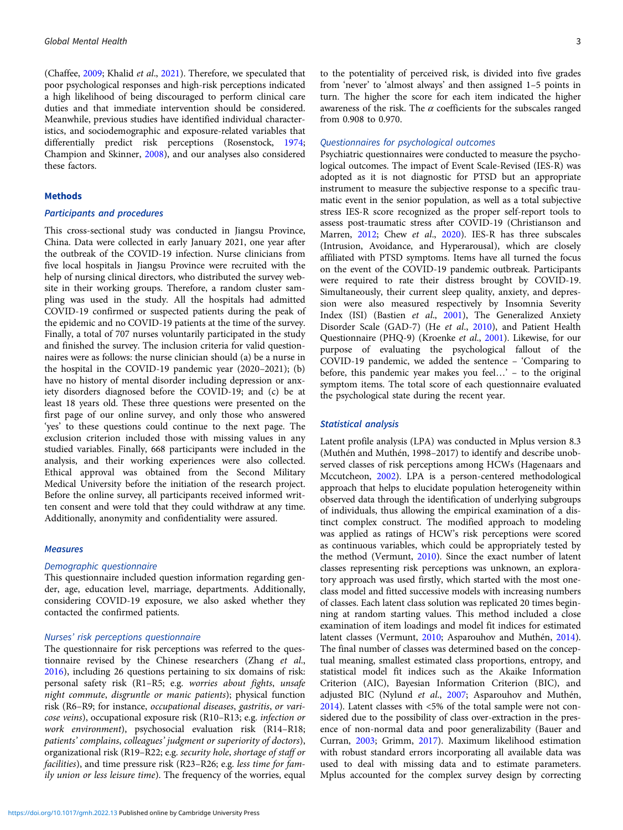(Chaffee, [2009;](#page-8-0) Khalid et al., [2021](#page-8-0)). Therefore, we speculated that poor psychological responses and high-risk perceptions indicated a high likelihood of being discouraged to perform clinical care duties and that immediate intervention should be considered. Meanwhile, previous studies have identified individual characteristics, and sociodemographic and exposure-related variables that differentially predict risk perceptions (Rosenstock, [1974;](#page-9-0) Champion and Skinner, [2008\)](#page-8-0), and our analyses also considered these factors.

# Methods

# Participants and procedures

This cross-sectional study was conducted in Jiangsu Province, China. Data were collected in early January 2021, one year after the outbreak of the COVID-19 infection. Nurse clinicians from five local hospitals in Jiangsu Province were recruited with the help of nursing clinical directors, who distributed the survey website in their working groups. Therefore, a random cluster sampling was used in the study. All the hospitals had admitted COVID-19 confirmed or suspected patients during the peak of the epidemic and no COVID-19 patients at the time of the survey. Finally, a total of 707 nurses voluntarily participated in the study and finished the survey. The inclusion criteria for valid questionnaires were as follows: the nurse clinician should (a) be a nurse in the hospital in the COVID-19 pandemic year (2020–2021); (b) have no history of mental disorder including depression or anxiety disorders diagnosed before the COVID-19; and (c) be at least 18 years old. These three questions were presented on the first page of our online survey, and only those who answered 'yes' to these questions could continue to the next page. The exclusion criterion included those with missing values in any studied variables. Finally, 668 participants were included in the analysis, and their working experiences were also collected. Ethical approval was obtained from the Second Military Medical University before the initiation of the research project. Before the online survey, all participants received informed written consent and were told that they could withdraw at any time. Additionally, anonymity and confidentiality were assured.

#### Measures

#### Demographic questionnaire

This questionnaire included question information regarding gender, age, education level, marriage, departments. Additionally, considering COVID-19 exposure, we also asked whether they contacted the confirmed patients.

# Nurses' risk perceptions questionnaire

The questionnaire for risk perceptions was referred to the questionnaire revised by the Chinese researchers (Zhang et al., [2016\)](#page-9-0), including 26 questions pertaining to six domains of risk: personal safety risk (R1–R5; e.g. worries about fights, unsafe night commute, disgruntle or manic patients); physical function risk (R6–R9; for instance, occupational diseases, gastritis, or varicose veins), occupational exposure risk (R10–R13; e.g. infection or work environment), psychosocial evaluation risk (R14–R18; patients' complains, colleagues' judgment or superiority of doctors), organizational risk (R19–R22; e.g. security hole, shortage of staff or facilities), and time pressure risk (R23–R26; e.g. less time for family union or less leisure time). The frequency of the worries, equal

to the potentiality of perceived risk, is divided into five grades from 'never' to 'almost always' and then assigned 1–5 points in turn. The higher the score for each item indicated the higher awareness of the risk. The  $\alpha$  coefficients for the subscales ranged from 0.908 to 0.970.

#### Questionnaires for psychological outcomes

Psychiatric questionnaires were conducted to measure the psychological outcomes. The impact of Event Scale-Revised (IES-R) was adopted as it is not diagnostic for PTSD but an appropriate instrument to measure the subjective response to a specific traumatic event in the senior population, as well as a total subjective stress IES-R score recognized as the proper self-report tools to assess post-traumatic stress after COVID-19 (Christianson and Marren, [2012](#page-8-0); Chew et al., [2020\)](#page-8-0). IES-R has three subscales (Intrusion, Avoidance, and Hyperarousal), which are closely affiliated with PTSD symptoms. Items have all turned the focus on the event of the COVID-19 pandemic outbreak. Participants were required to rate their distress brought by COVID-19. Simultaneously, their current sleep quality, anxiety, and depression were also measured respectively by Insomnia Severity Index (ISI) (Bastien et al., [2001](#page-8-0)), The Generalized Anxiety Disorder Scale (GAD-7) (He et al., [2010](#page-8-0)), and Patient Health Questionnaire (PHQ-9) (Kroenke et al., [2001\)](#page-8-0). Likewise, for our purpose of evaluating the psychological fallout of the COVID-19 pandemic, we added the sentence – 'Comparing to before, this pandemic year makes you feel…' – to the original symptom items. The total score of each questionnaire evaluated the psychological state during the recent year.

#### Statistical analysis

Latent profile analysis (LPA) was conducted in Mplus version 8.3 (Muthén and Muthén, 1998–2017) to identify and describe unobserved classes of risk perceptions among HCWs (Hagenaars and Mccutcheon, [2002\)](#page-8-0). LPA is a person-centered methodological approach that helps to elucidate population heterogeneity within observed data through the identification of underlying subgroups of individuals, thus allowing the empirical examination of a distinct complex construct. The modified approach to modeling was applied as ratings of HCW's risk perceptions were scored as continuous variables, which could be appropriately tested by the method (Vermunt, [2010](#page-9-0)). Since the exact number of latent classes representing risk perceptions was unknown, an exploratory approach was used firstly, which started with the most oneclass model and fitted successive models with increasing numbers of classes. Each latent class solution was replicated 20 times beginning at random starting values. This method included a close examination of item loadings and model fit indices for estimated latent classes (Vermunt, [2010;](#page-9-0) Asparouhov and Muthén, [2014](#page-8-0)). The final number of classes was determined based on the conceptual meaning, smallest estimated class proportions, entropy, and statistical model fit indices such as the Akaike Information Criterion (AIC), Bayesian Information Criterion (BIC), and adjusted BIC (Nylund et al., [2007;](#page-9-0) Asparouhov and Muthén, [2014](#page-8-0)). Latent classes with <5% of the total sample were not considered due to the possibility of class over-extraction in the presence of non-normal data and poor generalizability (Bauer and Curran, [2003;](#page-8-0) Grimm, [2017\)](#page-8-0). Maximum likelihood estimation with robust standard errors incorporating all available data was used to deal with missing data and to estimate parameters. Mplus accounted for the complex survey design by correcting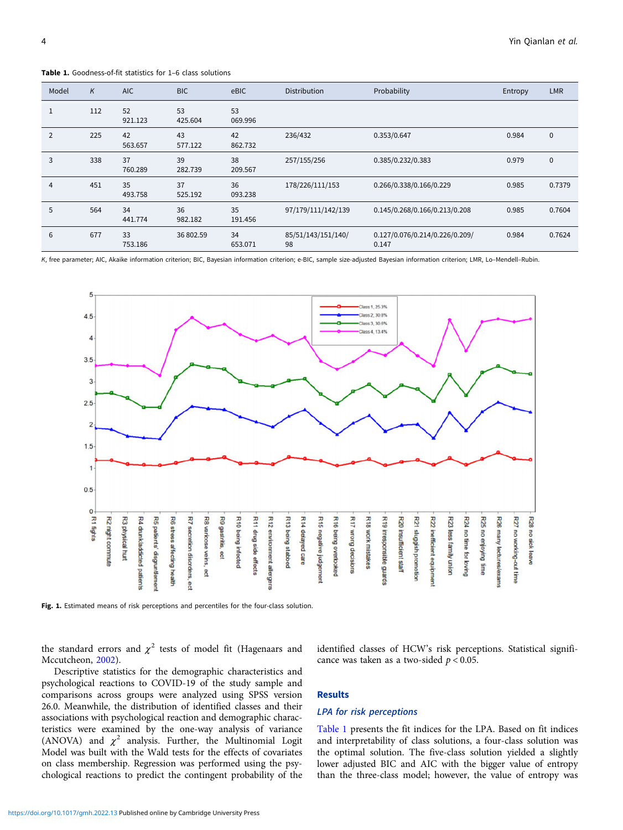| Model | K   | <b>AIC</b>    | <b>BIC</b>    | eBIC          | <b>Distribution</b>      | Probability                             | Entropy | <b>LMR</b>   |
|-------|-----|---------------|---------------|---------------|--------------------------|-----------------------------------------|---------|--------------|
| 1     | 112 | 52<br>921.123 | 53<br>425.604 | 53<br>069.996 |                          |                                         |         |              |
| 2     | 225 | 42<br>563.657 | 43<br>577.122 | 42<br>862.732 | 236/432                  | 0.353/0.647                             | 0.984   | $\mathbf{0}$ |
| 3     | 338 | 37<br>760.289 | 39<br>282.739 | 38<br>209.567 | 257/155/256              | 0.385/0.232/0.383                       | 0.979   | $\mathbf 0$  |
| 4     | 451 | 35<br>493.758 | 37<br>525.192 | 36<br>093.238 | 178/226/111/153          | 0.266/0.338/0.166/0.229                 | 0.985   | 0.7379       |
| 5     | 564 | 34<br>441.774 | 36<br>982.182 | 35<br>191.456 | 97/179/111/142/139       | 0.145/0.268/0.166/0.213/0.208           | 0.985   | 0.7604       |
| 6     | 677 | 33<br>753.186 | 36 802.59     | 34<br>653.071 | 85/51/143/151/140/<br>98 | 0.127/0.076/0.214/0.226/0.209/<br>0.147 | 0.984   | 0.7624       |

<span id="page-3-0"></span>Table 1. Goodness-of-fit statistics for 1–6 class solutions

K, free parameter; AIC, Akaike information criterion; BIC, Bayesian information criterion; e-BIC, sample size-adjusted Bayesian information criterion; LMR, Lo–Mendell–Rubin.



Fig. 1. Estimated means of risk perceptions and percentiles for the four-class solution.

the standard errors and  $\chi^2$  tests of model fit (Hagenaars and Mccutcheon, [2002](#page-8-0)).

Descriptive statistics for the demographic characteristics and psychological reactions to COVID-19 of the study sample and comparisons across groups were analyzed using SPSS version 26.0. Meanwhile, the distribution of identified classes and their associations with psychological reaction and demographic characteristics were examined by the one-way analysis of variance (ANOVA) and  $\chi^2$  analysis. Further, the Multinomial Logit Model was built with the Wald tests for the effects of covariates on class membership. Regression was performed using the psychological reactions to predict the contingent probability of the identified classes of HCW's risk perceptions. Statistical significance was taken as a two-sided  $p < 0.05$ .

# Results

# LPA for risk perceptions

Table 1 presents the fit indices for the LPA. Based on fit indices and interpretability of class solutions, a four-class solution was the optimal solution. The five-class solution yielded a slightly lower adjusted BIC and AIC with the bigger value of entropy than the three-class model; however, the value of entropy was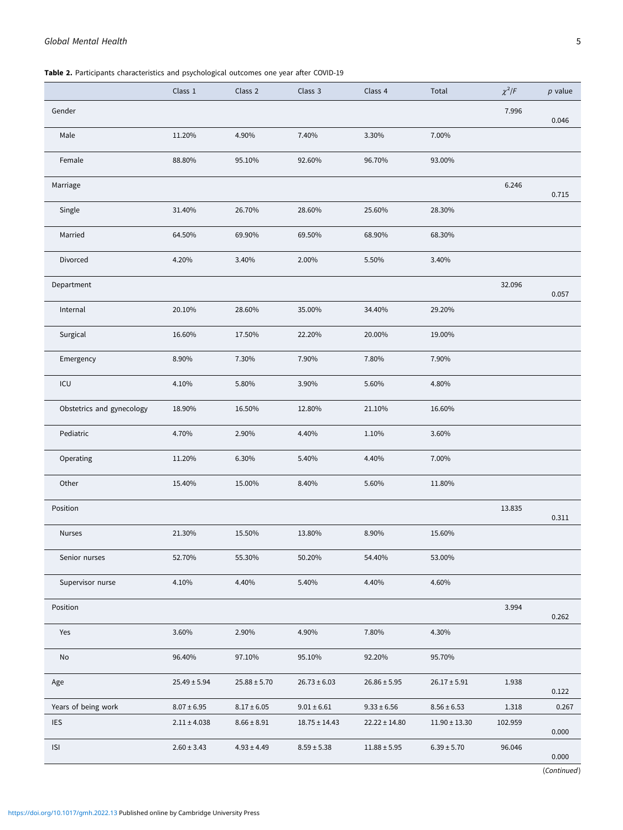# <span id="page-4-0"></span>Global Mental Health 5

Table 2. Participants characteristics and psychological outcomes one year after COVID-19

|                              | Class 1          | Class 2          | Class 3           | Class 4           | Total            | $\chi^2$ /F | $p$ value   |
|------------------------------|------------------|------------------|-------------------|-------------------|------------------|-------------|-------------|
| Gender                       |                  |                  |                   |                   |                  | 7.996       | 0.046       |
| Male                         | 11.20%           | 4.90%            | 7.40%             | 3.30%             | 7.00%            |             |             |
| Female                       | 88.80%           | 95.10%           | 92.60%            | 96.70%            | 93.00%           |             |             |
| Marriage                     |                  |                  |                   |                   |                  | 6.246       | 0.715       |
| Single                       | 31.40%           | 26.70%           | 28.60%            | 25.60%            | 28.30%           |             |             |
| Married                      | 64.50%           | 69.90%           | 69.50%            | 68.90%            | 68.30%           |             |             |
| Divorced                     | 4.20%            | 3.40%            | 2.00%             | 5.50%             | 3.40%            |             |             |
| Department                   |                  |                  |                   |                   |                  | 32.096      | 0.057       |
| Internal                     | 20.10%           | 28.60%           | 35.00%            | 34.40%            | 29.20%           |             |             |
| Surgical                     | 16.60%           | 17.50%           | 22.20%            | 20.00%            | 19.00%           |             |             |
| Emergency                    | 8.90%            | 7.30%            | 7.90%             | 7.80%             | 7.90%            |             |             |
| ICU                          | 4.10%            | 5.80%            | 3.90%             | 5.60%             | 4.80%            |             |             |
| Obstetrics and gynecology    | 18.90%           | 16.50%           | 12.80%            | 21.10%            | 16.60%           |             |             |
| Pediatric                    | 4.70%            | 2.90%            | 4.40%             | 1.10%             | 3.60%            |             |             |
| Operating                    | 11.20%           | 6.30%            | 5.40%             | 4.40%             | 7.00%            |             |             |
| Other                        | 15.40%           | 15.00%           | 8.40%             | 5.60%             | 11.80%           |             |             |
| Position                     |                  |                  |                   |                   |                  | 13.835      | 0.311       |
| <b>Nurses</b>                | 21.30%           | 15.50%           | 13.80%            | 8.90%             | 15.60%           |             |             |
| Senior nurses                | 52.70%           | 55.30%           | 50.20%            | 54.40%            | 53.00%           |             |             |
| Supervisor nurse             | 4.10%            | 4.40%            | 5.40%             | 4.40%             | 4.60%            |             |             |
| Position                     |                  |                  |                   |                   |                  | 3.994       | 0.262       |
| Yes                          | 3.60%            | 2.90%            | 4.90%             | 7.80%             | 4.30%            |             |             |
| $\operatorname{\mathsf{No}}$ | 96.40%           | 97.10%           | 95.10%            | 92.20%            | 95.70%           |             |             |
| Age                          | $25.49 \pm 5.94$ | $25.88 \pm 5.70$ | $26.73 \pm 6.03$  | $26.86 \pm 5.95$  | $26.17 \pm 5.91$ | 1.938       | 0.122       |
| Years of being work          | $8.07 \pm 6.95$  | $8.17 \pm 6.05$  | $9.01 \pm 6.61$   | $9.33 \pm 6.56$   | $8.56 \pm 6.53$  | 1.318       | 0.267       |
| <b>IES</b>                   | $2.11 \pm 4.038$ | $8.66 \pm 8.91$  | $18.75 \pm 14.43$ | $22.22 \pm 14.80$ | $11.90\pm13.30$  | 102.959     | 0.000       |
| $\ensuremath{\mathsf{ISl}}$  | $2.60 \pm 3.43$  | $4.93 \pm 4.49$  | $8.59 \pm 5.38$   | $11.88 \pm 5.95$  | $6.39 \pm 5.70$  | 96.046      | 0.000       |
|                              |                  |                  |                   |                   |                  |             | (Continued) |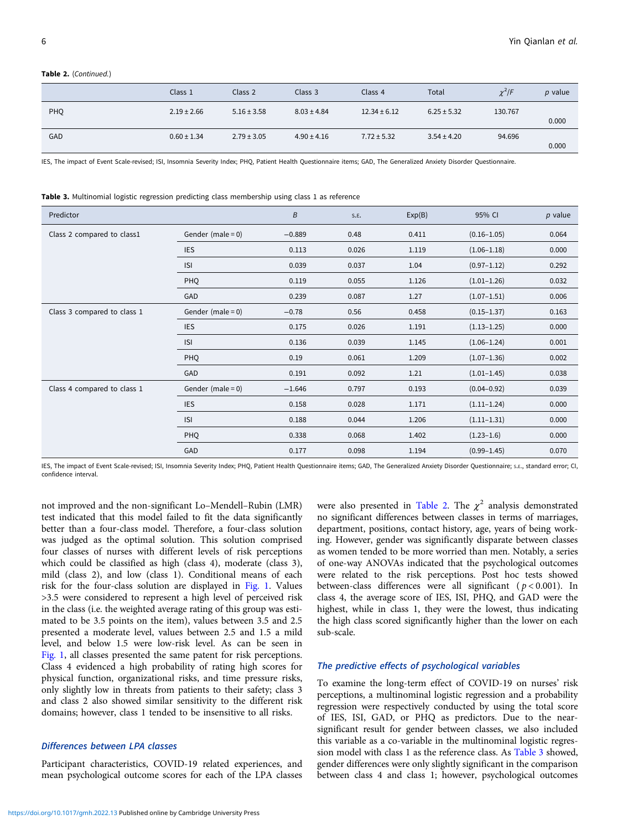#### Table 2. (Continued.)

|            | Class 1         | Class 2         | Class 3         | Class 4          | Total           | $\chi^2$ /F | $p$ value |
|------------|-----------------|-----------------|-----------------|------------------|-----------------|-------------|-----------|
| <b>PHQ</b> | $2.19 \pm 2.66$ | $5.16 \pm 3.58$ | $8.03 \pm 4.84$ | $12.34 \pm 6.12$ | $6.25 \pm 5.32$ | 130.767     | 0.000     |
| <b>GAD</b> | $0.60 \pm 1.34$ | $2.79 \pm 3.05$ | $4.90 \pm 4.16$ | $7.72 \pm 5.32$  | $3.54 \pm 4.20$ | 94.696      | 0.000     |

IES, The impact of Event Scale-revised; ISI, Insomnia Severity Index; PHQ, Patient Health Questionnaire items; GAD, The Generalized Anxiety Disorder Questionnaire.

Table 3. Multinomial logistic regression predicting class membership using class 1 as reference

| Predictor                   |                      | B        | S.E.  | Exp(B) | 95% CI          | $p$ value |
|-----------------------------|----------------------|----------|-------|--------|-----------------|-----------|
| Class 2 compared to class1  | Gender (male = $0$ ) | $-0.889$ | 0.48  | 0.411  | $(0.16 - 1.05)$ | 0.064     |
|                             | <b>IES</b>           | 0.113    | 0.026 | 1.119  | $(1.06 - 1.18)$ | 0.000     |
|                             | <b>ISI</b>           | 0.039    | 0.037 | 1.04   | $(0.97 - 1.12)$ | 0.292     |
|                             | PHQ                  | 0.119    | 0.055 | 1.126  | $(1.01 - 1.26)$ | 0.032     |
|                             | GAD                  | 0.239    | 0.087 | 1.27   | $(1.07 - 1.51)$ | 0.006     |
| Class 3 compared to class 1 | Gender (male = $0$ ) | $-0.78$  | 0.56  | 0.458  | $(0.15 - 1.37)$ | 0.163     |
|                             | <b>IES</b>           | 0.175    | 0.026 | 1.191  | $(1.13 - 1.25)$ | 0.000     |
|                             | <b>ISI</b>           | 0.136    | 0.039 | 1.145  | $(1.06 - 1.24)$ | 0.001     |
|                             | PHQ                  | 0.19     | 0.061 | 1.209  | $(1.07 - 1.36)$ | 0.002     |
|                             | GAD                  | 0.191    | 0.092 | 1.21   | $(1.01 - 1.45)$ | 0.038     |
| Class 4 compared to class 1 | Gender (male = $0$ ) | $-1.646$ | 0.797 | 0.193  | $(0.04 - 0.92)$ | 0.039     |
|                             | <b>IES</b>           | 0.158    | 0.028 | 1.171  | $(1.11 - 1.24)$ | 0.000     |
|                             | <b>ISI</b>           | 0.188    | 0.044 | 1.206  | $(1.11 - 1.31)$ | 0.000     |
|                             | PHQ                  | 0.338    | 0.068 | 1.402  | $(1.23 - 1.6)$  | 0.000     |
|                             | GAD                  | 0.177    | 0.098 | 1.194  | $(0.99 - 1.45)$ | 0.070     |

IES, The impact of Event Scale-revised; ISI, Insomnia Severity Index; PHQ, Patient Health Questionnaire items; GAD, The Generalized Anxiety Disorder Questionnaire; s.E., standard error; CI, confidence interval.

not improved and the non-significant Lo–Mendell–Rubin (LMR) test indicated that this model failed to fit the data significantly better than a four-class model. Therefore, a four-class solution was judged as the optimal solution. This solution comprised four classes of nurses with different levels of risk perceptions which could be classified as high (class 4), moderate (class 3), mild (class 2), and low (class 1). Conditional means of each risk for the four-class solution are displayed in [Fig. 1](#page-3-0). Values >3.5 were considered to represent a high level of perceived risk in the class (i.e. the weighted average rating of this group was estimated to be 3.5 points on the item), values between 3.5 and 2.5 presented a moderate level, values between 2.5 and 1.5 a mild level, and below 1.5 were low-risk level. As can be seen in [Fig. 1](#page-3-0), all classes presented the same patent for risk perceptions. Class 4 evidenced a high probability of rating high scores for physical function, organizational risks, and time pressure risks, only slightly low in threats from patients to their safety; class 3 and class 2 also showed similar sensitivity to the different risk domains; however, class 1 tended to be insensitive to all risks.

# Differences between LPA classes

Participant characteristics, COVID-19 related experiences, and mean psychological outcome scores for each of the LPA classes

were also presented in [Table 2.](#page-4-0) The  $\chi^2$  analysis demonstrated no significant differences between classes in terms of marriages, department, positions, contact history, age, years of being working. However, gender was significantly disparate between classes as women tended to be more worried than men. Notably, a series of one-way ANOVAs indicated that the psychological outcomes were related to the risk perceptions. Post hoc tests showed between-class differences were all significant ( $p < 0.001$ ). In class 4, the average score of IES, ISI, PHQ, and GAD were the highest, while in class 1, they were the lowest, thus indicating the high class scored significantly higher than the lower on each sub-scale.

#### The predictive effects of psychological variables

To examine the long-term effect of COVID-19 on nurses' risk perceptions, a multinominal logistic regression and a probability regression were respectively conducted by using the total score of IES, ISI, GAD, or PHQ as predictors. Due to the nearsignificant result for gender between classes, we also included this variable as a co-variable in the multinominal logistic regression model with class 1 as the reference class. As Table 3 showed, gender differences were only slightly significant in the comparison between class 4 and class 1; however, psychological outcomes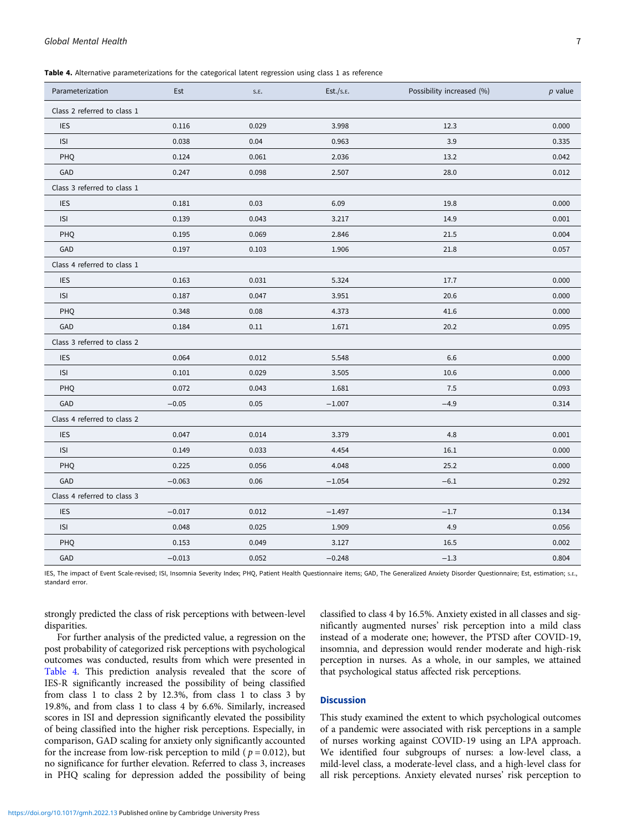Table 4. Alternative parameterizations for the categorical latent regression using class 1 as reference

| Parameterization            | Est      | S.E.  | Est./s.E. | Possibility increased (%) | $p$ value |  |
|-----------------------------|----------|-------|-----------|---------------------------|-----------|--|
| Class 2 referred to class 1 |          |       |           |                           |           |  |
| <b>IES</b>                  | 0.116    | 0.029 | 3.998     | 12.3                      | 0.000     |  |
| <b>ISI</b>                  | 0.038    | 0.04  | 0.963     | 3.9                       | 0.335     |  |
| PHQ                         | 0.124    | 0.061 | 2.036     | 13.2                      | 0.042     |  |
| GAD                         | 0.247    | 0.098 | 2.507     | 28.0                      | 0.012     |  |
| Class 3 referred to class 1 |          |       |           |                           |           |  |
| <b>IES</b>                  | 0.181    | 0.03  | 6.09      | 19.8                      | 0.000     |  |
| <b>ISI</b>                  | 0.139    | 0.043 | 3.217     | 14.9                      | 0.001     |  |
| <b>PHQ</b>                  | 0.195    | 0.069 | 2.846     | 21.5                      | 0.004     |  |
| GAD                         | 0.197    | 0.103 | 1.906     | 21.8                      | 0.057     |  |
| Class 4 referred to class 1 |          |       |           |                           |           |  |
| <b>IES</b>                  | 0.163    | 0.031 | 5.324     | 17.7                      | 0.000     |  |
| <b>ISI</b>                  | 0.187    | 0.047 | 3.951     | 20.6                      | 0.000     |  |
| PHQ                         | 0.348    | 0.08  | 4.373     | 41.6                      | 0.000     |  |
| GAD                         | 0.184    | 0.11  | 1.671     | 20.2                      | 0.095     |  |
| Class 3 referred to class 2 |          |       |           |                           |           |  |
| <b>IES</b>                  | 0.064    | 0.012 | 5.548     | 6.6                       | 0.000     |  |
| <b>ISI</b>                  | 0.101    | 0.029 | 3.505     | 10.6                      | 0.000     |  |
| PHQ                         | 0.072    | 0.043 | 1.681     | 7.5                       | 0.093     |  |
| GAD                         | $-0.05$  | 0.05  | $-1.007$  | $-4.9$                    | 0.314     |  |
| Class 4 referred to class 2 |          |       |           |                           |           |  |
| <b>IES</b>                  | 0.047    | 0.014 | 3.379     | 4.8                       | 0.001     |  |
| <b>ISI</b>                  | 0.149    | 0.033 | 4.454     | 16.1                      | 0.000     |  |
| PHQ                         | 0.225    | 0.056 | 4.048     | 25.2                      | 0.000     |  |
| GAD                         | $-0.063$ | 0.06  | $-1.054$  | $-6.1$                    | 0.292     |  |
| Class 4 referred to class 3 |          |       |           |                           |           |  |
| <b>IES</b>                  | $-0.017$ | 0.012 | $-1.497$  | $-1.7$                    | 0.134     |  |
| <b>ISI</b>                  | 0.048    | 0.025 | 1.909     | 4.9                       | 0.056     |  |
| <b>PHQ</b>                  | 0.153    | 0.049 | 3.127     | 16.5                      | 0.002     |  |
| GAD                         | $-0.013$ | 0.052 | $-0.248$  | $-1.3$                    | 0.804     |  |

IES, The impact of Event Scale-revised; ISI, Insomnia Severity Index; PHQ, Patient Health Questionnaire items; GAD, The Generalized Anxiety Disorder Questionnaire; Est, estimation; S.E., standard error.

strongly predicted the class of risk perceptions with between-level disparities.

For further analysis of the predicted value, a regression on the post probability of categorized risk perceptions with psychological outcomes was conducted, results from which were presented in Table 4. This prediction analysis revealed that the score of IES-R significantly increased the possibility of being classified from class 1 to class 2 by 12.3%, from class 1 to class 3 by 19.8%, and from class 1 to class 4 by 6.6%. Similarly, increased scores in ISI and depression significantly elevated the possibility of being classified into the higher risk perceptions. Especially, in comparison, GAD scaling for anxiety only significantly accounted for the increase from low-risk perception to mild ( $p = 0.012$ ), but no significance for further elevation. Referred to class 3, increases in PHQ scaling for depression added the possibility of being

classified to class 4 by 16.5%. Anxiety existed in all classes and significantly augmented nurses' risk perception into a mild class instead of a moderate one; however, the PTSD after COVID-19, insomnia, and depression would render moderate and high-risk perception in nurses. As a whole, in our samples, we attained that psychological status affected risk perceptions.

# **Discussion**

This study examined the extent to which psychological outcomes of a pandemic were associated with risk perceptions in a sample of nurses working against COVID-19 using an LPA approach. We identified four subgroups of nurses: a low-level class, a mild-level class, a moderate-level class, and a high-level class for all risk perceptions. Anxiety elevated nurses' risk perception to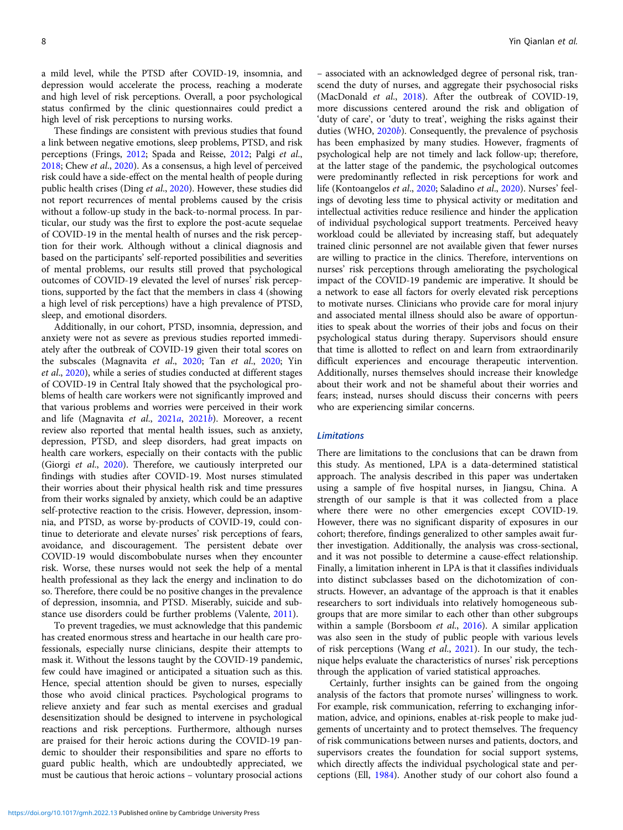a mild level, while the PTSD after COVID-19, insomnia, and depression would accelerate the process, reaching a moderate and high level of risk perceptions. Overall, a poor psychological status confirmed by the clinic questionnaires could predict a high level of risk perceptions to nursing works.

These findings are consistent with previous studies that found a link between negative emotions, sleep problems, PTSD, and risk perceptions (Frings, [2012](#page-8-0); Spada and Reisse, [2012](#page-9-0); Palgi et al., [2018;](#page-9-0) Chew et al., [2020\)](#page-8-0). As a consensus, a high level of perceived risk could have a side-effect on the mental health of people during public health crises (Ding et al., [2020\)](#page-8-0). However, these studies did not report recurrences of mental problems caused by the crisis without a follow-up study in the back-to-normal process. In particular, our study was the first to explore the post-acute sequelae of COVID-19 in the mental health of nurses and the risk perception for their work. Although without a clinical diagnosis and based on the participants' self-reported possibilities and severities of mental problems, our results still proved that psychological outcomes of COVID-19 elevated the level of nurses' risk perceptions, supported by the fact that the members in class 4 (showing a high level of risk perceptions) have a high prevalence of PTSD, sleep, and emotional disorders.

Additionally, in our cohort, PTSD, insomnia, depression, and anxiety were not as severe as previous studies reported immediately after the outbreak of COVID-19 given their total scores on the subscales (Magnavita et al., [2020;](#page-9-0) Tan et al., 2020; Yin et al., [2020\)](#page-9-0), while a series of studies conducted at different stages of COVID-19 in Central Italy showed that the psychological problems of health care workers were not significantly improved and that various problems and worries were perceived in their work and life (Magnavita et al., [2021](#page-9-0)a, [2021](#page-9-0)b). Moreover, a recent review also reported that mental health issues, such as anxiety, depression, PTSD, and sleep disorders, had great impacts on health care workers, especially on their contacts with the public (Giorgi et al., [2020](#page-8-0)). Therefore, we cautiously interpreted our findings with studies after COVID-19. Most nurses stimulated their worries about their physical health risk and time pressures from their works signaled by anxiety, which could be an adaptive self-protective reaction to the crisis. However, depression, insomnia, and PTSD, as worse by-products of COVID-19, could continue to deteriorate and elevate nurses' risk perceptions of fears, avoidance, and discouragement. The persistent debate over COVID-19 would discombobulate nurses when they encounter risk. Worse, these nurses would not seek the help of a mental health professional as they lack the energy and inclination to do so. Therefore, there could be no positive changes in the prevalence of depression, insomnia, and PTSD. Miserably, suicide and substance use disorders could be further problems (Valente, [2011\)](#page-9-0).

To prevent tragedies, we must acknowledge that this pandemic has created enormous stress and heartache in our health care professionals, especially nurse clinicians, despite their attempts to mask it. Without the lessons taught by the COVID-19 pandemic, few could have imagined or anticipated a situation such as this. Hence, special attention should be given to nurses, especially those who avoid clinical practices. Psychological programs to relieve anxiety and fear such as mental exercises and gradual desensitization should be designed to intervene in psychological reactions and risk perceptions. Furthermore, although nurses are praised for their heroic actions during the COVID-19 pandemic to shoulder their responsibilities and spare no efforts to guard public health, which are undoubtedly appreciated, we must be cautious that heroic actions – voluntary prosocial actions

– associated with an acknowledged degree of personal risk, transcend the duty of nurses, and aggregate their psychosocial risks (MacDonald et al., [2018\)](#page-9-0). After the outbreak of COVID-19, more discussions centered around the risk and obligation of 'duty of care', or 'duty to treat', weighing the risks against their duties (WHO, [2020](#page-9-0)b). Consequently, the prevalence of psychosis has been emphasized by many studies. However, fragments of psychological help are not timely and lack follow-up; therefore, at the latter stage of the pandemic, the psychological outcomes were predominantly reflected in risk perceptions for work and life (Kontoangelos et al., [2020;](#page-8-0) Saladino et al., [2020](#page-9-0)). Nurses' feelings of devoting less time to physical activity or meditation and intellectual activities reduce resilience and hinder the application of individual psychological support treatments. Perceived heavy workload could be alleviated by increasing staff, but adequately trained clinic personnel are not available given that fewer nurses are willing to practice in the clinics. Therefore, interventions on nurses' risk perceptions through ameliorating the psychological impact of the COVID-19 pandemic are imperative. It should be a network to ease all factors for overly elevated risk perceptions to motivate nurses. Clinicians who provide care for moral injury and associated mental illness should also be aware of opportunities to speak about the worries of their jobs and focus on their psychological status during therapy. Supervisors should ensure that time is allotted to reflect on and learn from extraordinarily difficult experiences and encourage therapeutic intervention. Additionally, nurses themselves should increase their knowledge about their work and not be shameful about their worries and fears; instead, nurses should discuss their concerns with peers who are experiencing similar concerns.

#### Limitations

There are limitations to the conclusions that can be drawn from this study. As mentioned, LPA is a data-determined statistical approach. The analysis described in this paper was undertaken using a sample of five hospital nurses, in Jiangsu, China. A strength of our sample is that it was collected from a place where there were no other emergencies except COVID-19. However, there was no significant disparity of exposures in our cohort; therefore, findings generalized to other samples await further investigation. Additionally, the analysis was cross-sectional, and it was not possible to determine a cause-effect relationship. Finally, a limitation inherent in LPA is that it classifies individuals into distinct subclasses based on the dichotomization of constructs. However, an advantage of the approach is that it enables researchers to sort individuals into relatively homogeneous subgroups that are more similar to each other than other subgroups within a sample (Borsboom et al., [2016\)](#page-8-0). A similar application was also seen in the study of public people with various levels of risk perceptions (Wang et al., [2021](#page-9-0)). In our study, the technique helps evaluate the characteristics of nurses' risk perceptions through the application of varied statistical approaches.

Certainly, further insights can be gained from the ongoing analysis of the factors that promote nurses' willingness to work. For example, risk communication, referring to exchanging information, advice, and opinions, enables at-risk people to make judgements of uncertainty and to protect themselves. The frequency of risk communications between nurses and patients, doctors, and supervisors creates the foundation for social support systems, which directly affects the individual psychological state and perceptions (Ell, [1984\)](#page-8-0). Another study of our cohort also found a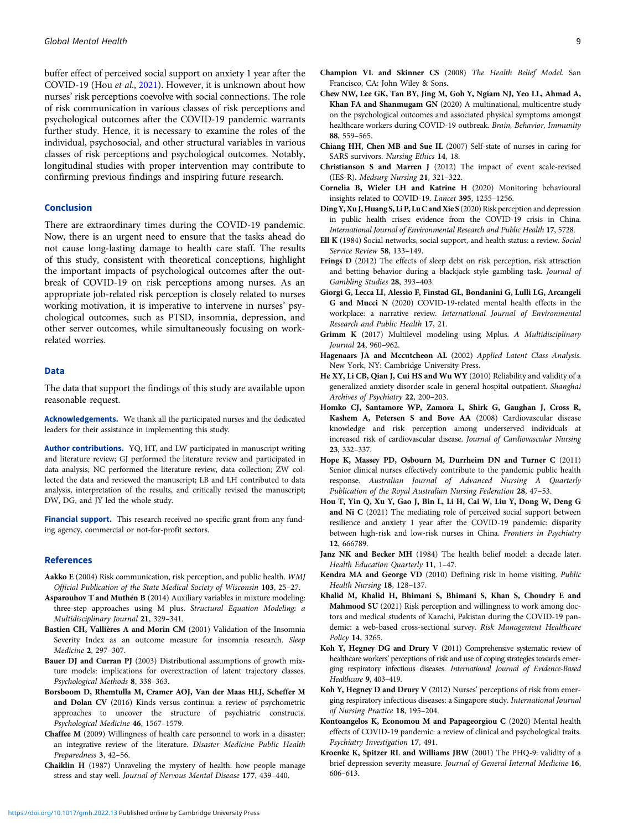<span id="page-8-0"></span>buffer effect of perceived social support on anxiety 1 year after the COVID-19 (Hou et al., 2021). However, it is unknown about how nurses' risk perceptions coevolve with social connections. The role of risk communication in various classes of risk perceptions and psychological outcomes after the COVID-19 pandemic warrants further study. Hence, it is necessary to examine the roles of the individual, psychosocial, and other structural variables in various classes of risk perceptions and psychological outcomes. Notably, longitudinal studies with proper intervention may contribute to confirming previous findings and inspiring future research.

#### Conclusion

There are extraordinary times during the COVID-19 pandemic. Now, there is an urgent need to ensure that the tasks ahead do not cause long-lasting damage to health care staff. The results of this study, consistent with theoretical conceptions, highlight the important impacts of psychological outcomes after the outbreak of COVID-19 on risk perceptions among nurses. As an appropriate job-related risk perception is closely related to nurses working motivation, it is imperative to intervene in nurses' psychological outcomes, such as PTSD, insomnia, depression, and other server outcomes, while simultaneously focusing on workrelated worries.

#### Data

The data that support the findings of this study are available upon reasonable request.

Acknowledgements. We thank all the participated nurses and the dedicated leaders for their assistance in implementing this study.

Author contributions. YQ, HT, and LW participated in manuscript writing and literature review; GJ performed the literature review and participated in data analysis; NC performed the literature review, data collection; ZW collected the data and reviewed the manuscript; LB and LH contributed to data analysis, interpretation of the results, and critically revised the manuscript; DW, DG, and JY led the whole study.

Financial support. This research received no specific grant from any funding agency, commercial or not-for-profit sectors.

#### References

- Aakko E (2004) Risk communication, risk perception, and public health. WMJ Official Publication of the State Medical Society of Wisconsin 103, 25–27.
- Asparouhov T and Muthén B (2014) Auxiliary variables in mixture modeling: three-step approaches using M plus. Structural Equation Modeling: a Multidisciplinary Journal 21, 329–341.
- Bastien CH, Vallières A and Morin CM (2001) Validation of the Insomnia Severity Index as an outcome measure for insomnia research. Sleep Medicine 2, 297–307.
- Bauer DJ and Curran PJ (2003) Distributional assumptions of growth mixture models: implications for overextraction of latent trajectory classes. Psychological Methods 8, 338–363.
- Borsboom D, Rhemtulla M, Cramer AOJ, Van der Maas HLJ, Scheffer M and Dolan CV (2016) Kinds versus continua: a review of psychometric approaches to uncover the structure of psychiatric constructs. Psychological Medicine 46, 1567–1579.
- Chaffee M (2009) Willingness of health care personnel to work in a disaster: an integrative review of the literature. Disaster Medicine Public Health Preparedness 3, 42–56.
- Chaiklin H (1987) Unraveling the mystery of health: how people manage stress and stay well. Journal of Nervous Mental Disease 177, 439–440.
- Chew NW, Lee GK, Tan BY, Jing M, Goh Y, Ngiam NJ, Yeo LL, Ahmad A, Khan FA and Shanmugam GN (2020) A multinational, multicentre study on the psychological outcomes and associated physical symptoms amongst healthcare workers during COVID-19 outbreak. Brain, Behavior, Immunity 88, 559–565.
- Chiang HH, Chen MB and Sue IL (2007) Self-state of nurses in caring for SARS survivors. Nursing Ethics 14, 18.
- Christianson S and Marren J (2012) The impact of event scale-revised (IES-R). Medsurg Nursing 21, 321–322.
- Cornelia B, Wieler LH and Katrine H (2020) Monitoring behavioural insights related to COVID-19. Lancet 395, 1255–1256.
- Ding Y, Xu J, Huang S, Li P, LuC and Xie S (2020) Risk perception and depression in public health crises: evidence from the COVID-19 crisis in China. International Journal of Environmental Research and Public Health 17, 5728.
- Ell K (1984) Social networks, social support, and health status: a review. Social Service Review 58, 133–149.
- Frings D (2012) The effects of sleep debt on risk perception, risk attraction and betting behavior during a blackjack style gambling task. Journal of Gambling Studies 28, 393–403.
- Giorgi G, Lecca LI, Alessio F, Finstad GL, Bondanini G, Lulli LG, Arcangeli G and Mucci N (2020) COVID-19-related mental health effects in the workplace: a narrative review. International Journal of Environmental Research and Public Health 17, 21.
- Grimm K (2017) Multilevel modeling using Mplus. A Multidisciplinary Journal 24, 960–962.
- Hagenaars JA and Mccutcheon AL (2002) Applied Latent Class Analysis. New York, NY: Cambridge University Press.
- He XY, Li CB, Qian J, Cui HS and Wu WY (2010) Reliability and validity of a generalized anxiety disorder scale in general hospital outpatient. Shanghai Archives of Psychiatry 22, 200–203.
- Homko CJ, Santamore WP, Zamora L, Shirk G, Gaughan J, Cross R, Kashem A, Petersen S and Bove AA (2008) Cardiovascular disease knowledge and risk perception among underserved individuals at increased risk of cardiovascular disease. Journal of Cardiovascular Nursing 23, 332–337.
- Hope K, Massey PD, Osbourn M, Durrheim DN and Turner C (2011) Senior clinical nurses effectively contribute to the pandemic public health response. Australian Journal of Advanced Nursing A Quarterly Publication of the Royal Australian Nursing Federation 28, 47–53.
- Hou T, Yin Q, Xu Y, Gao J, Bin L, Li H, Cai W, Liu Y, Dong W, Deng G and Ni C (2021) The mediating role of perceived social support between resilience and anxiety 1 year after the COVID-19 pandemic: disparity between high-risk and low-risk nurses in China. Frontiers in Psychiatry 12, 666789.
- Janz NK and Becker MH (1984) The health belief model: a decade later. Health Education Quarterly 11, 1–47.
- Kendra MA and George VD (2010) Defining risk in home visiting. Public Health Nursing 18, 128–137.
- Khalid M, Khalid H, Bhimani S, Bhimani S, Khan S, Choudry E and Mahmood SU (2021) Risk perception and willingness to work among doctors and medical students of Karachi, Pakistan during the COVID-19 pandemic: a web-based cross-sectional survey. Risk Management Healthcare Policy 14, 3265.
- Koh Y, Hegney DG and Drury V (2011) Comprehensive systematic review of healthcare workers' perceptions of risk and use of coping strategies towards emerging respiratory infectious diseases. International Journal of Evidence-Based Healthcare 9, 403–419.
- Koh Y, Hegney D and Drury V (2012) Nurses' perceptions of risk from emerging respiratory infectious diseases: a Singapore study. International Journal of Nursing Practice 18, 195–204.
- Kontoangelos K, Economou M and Papageorgiou C (2020) Mental health effects of COVID-19 pandemic: a review of clinical and psychological traits. Psychiatry Investigation 17, 491.
- Kroenke K, Spitzer RL and Williams JBW (2001) The PHQ-9: validity of a brief depression severity measure. Journal of General Internal Medicine 16, 606–613.